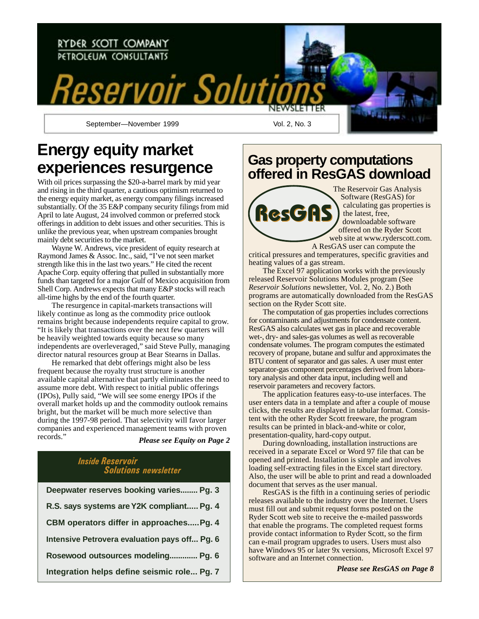

September—November 1999 Vol. 2, No. 3

# **Energy equity market experiences resurgence**

With oil prices surpassing the \$20-a-barrel mark by mid year and rising in the third quarter, a cautious optimism returned to the energy equity market, as energy company filings increased substantially. Of the 35 E&P company security filings from mid April to late August, 24 involved common or preferred stock offerings in addition to debt issues and other securities. This is unlike the previous year, when upstream companies brought mainly debt securities to the market.

Wayne W. Andrews, vice president of equity research at Raymond James & Assoc. Inc., said, "I've not seen market strength like this in the last two years." He cited the recent Apache Corp. equity offering that pulled in substantially more funds than targeted for a major Gulf of Mexico acquisition from Shell Corp. Andrews expects that many E&P stocks will reach all-time highs by the end of the fourth quarter.

The resurgence in capital-markets transactions will likely continue as long as the commodity price outlook remains bright because independents require capital to grow. "It is likely that transactions over the next few quarters will be heavily weighted towards equity because so many independents are overleveraged," said Steve Pully, managing director natural resources group at Bear Stearns in Dallas.

He remarked that debt offerings might also be less frequent because the royalty trust structure is another available capital alternative that partly eliminates the need to assume more debt. With respect to initial public offerings (IPOs), Pully said, "We will see some energy IPOs if the overall market holds up and the commodity outlook remains bright, but the market will be much more selective than during the 1997-98 period. That selectivity will favor larger companies and experienced management teams with proven records."

*Please see Equity on Page 2*

## Inside Reservoir Solutions newsletter **Deepwater reserves booking varies........ Pg. 3 R.S. says systems are Y2K compliant..... Pg. 4 CBM operators differ in approaches.....Pg. 4**

|  | Intensive Petrovera evaluation pays off Pg. 6 |  |  |
|--|-----------------------------------------------|--|--|
|  |                                               |  |  |

### **Rosewood outsources modeling............. Pg. 6**

**Integration helps define seismic role... Pg. 7**

## **Gas property computations offered in ResGAS download**



The Reservoir Gas Analysis Software (ResGAS) for calculating gas properties is the latest, free, downloadable software offered on the Ryder Scott

web site at www.ryderscott.com. A ResGAS user can compute the critical pressures and temperatures, specific gravities and heating values of a gas stream.

The Excel 97 application works with the previously released Reservoir Solutions Modules program (See *Reservoir Solutions* newsletter, Vol. 2, No. 2.) Both programs are automatically downloaded from the ResGAS section on the Ryder Scott site.

The computation of gas properties includes corrections for contaminants and adjustments for condensate content. ResGAS also calculates wet gas in place and recoverable wet-, dry- and sales-gas volumes as well as recoverable condensate volumes. The program computes the estimated recovery of propane, butane and sulfur and approximates the BTU content of separator and gas sales. A user must enter separator-gas component percentages derived from laboratory analysis and other data input, including well and reservoir parameters and recovery factors.

The application features easy-to-use interfaces. The user enters data in a template and after a couple of mouse clicks, the results are displayed in tabular format. Consistent with the other Ryder Scott freeware, the program results can be printed in black-and-white or color, presentation-quality, hard-copy output.

During downloading, installation instructions are received in a separate Excel or Word 97 file that can be opened and printed. Installation is simple and involves loading self-extracting files in the Excel start directory. Also, the user will be able to print and read a downloaded document that serves as the user manual.

ResGAS is the fifth in a continuing series of periodic releases available to the industry over the Internet. Users must fill out and submit request forms posted on the Ryder Scott web site to receive the e-mailed passwords that enable the programs. The completed request forms provide contact information to Ryder Scott, so the firm can e-mail program upgrades to users. Users must also have Windows 95 or later 9x versions, Microsoft Excel 97 software and an Internet connection.

*Please see ResGAS on Page 8*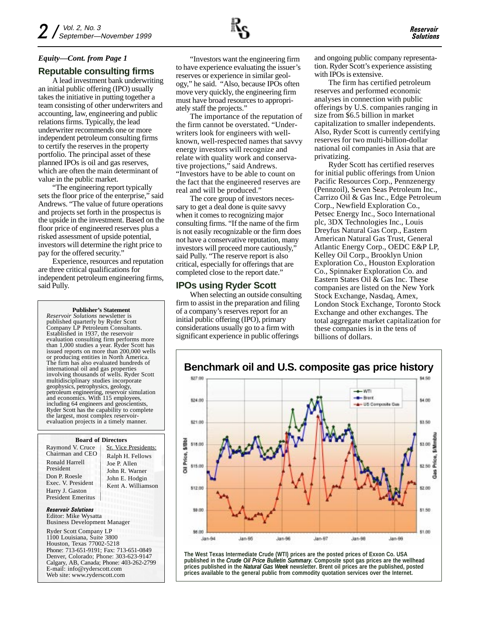### **Reputable consulting firms**

A lead investment bank underwriting an initial public offering (IPO) usually takes the initiative in putting together a team consisting of other underwriters and accounting, law, engineering and public relations firms. Typically, the lead underwriter recommends one or more independent petroleum consulting firms to certify the reserves in the property portfolio. The principal asset of these planned IPOs is oil and gas reserves, which are often the main determinant of value in the public market.

"The engineering report typically sets the floor price of the enterprise," said Andrews. "The value of future operations and projects set forth in the prospectus is the upside in the investment. Based on the floor price of engineered reserves plus a risked assessment of upside potential, investors will determine the right price to pay for the offered security."

Experience, resources and reputation are three critical qualifications for independent petroleum engineering firms, said Pully.

**Publisher's Statement**

*Reservoir Solutions* newsletter is published quarterly by Ryder Scott Company LP Petroleum Consultants. Established in 1937, the reservoir evaluation consulting firm performs more than 1,000 studies a year. Ryder Scott has issued reports on more than 200,000 wells or producing entities in North America. The firm has also evaluated hundreds of international oil and gas properties involving thousands of wells. Ryder Scott multidisciplinary studies incorporate geophysics, petrophysics, geology, petroleum engineering, reservoir simulation and economics. With 115 employees, including 64 engineers and geoscientists Ryder Scott has the capability to complete the largest, most complex reservoirevaluation projects in a timely manner.

#### **Board of Directors**

| Raymond V. Cruce<br>Chairman and CEO         | Sr. Vice P                                                     |  |  |
|----------------------------------------------|----------------------------------------------------------------|--|--|
| Ronald Harrell<br>President                  | Ralph H.<br>Joe P. Allo<br>John R. W<br>John E. H<br>Kent A. V |  |  |
| Don P. Roesle<br>Exec. V. President          |                                                                |  |  |
| Harry J. Gaston<br><b>President Emeritus</b> |                                                                |  |  |

residents: Fellows  $\mathbf{e}$ Jarner odgin Villiamson

Reservoir Solutions Editor: Mike Wysatta Business Development Manager

Ryder Scott Company LP 1100 Louisiana, Suite 3800 Houston, Texas 77002-5218 Phone: 713-651-9191; Fax: 713-651-0849 Denver, Colorado; Phone: 303-623-9147 Calgary, AB, Canada; Phone: 403-262-2799 E-mail: info@ryderscott.com Web site: www.ryderscott.com

"Investors want the engineering firm to have experience evaluating the issuer's reserves or experience in similar geology," he said. "Also, because IPOs often move very quickly, the engineering firm must have broad resources to appropriately staff the projects."

The importance of the reputation of the firm cannot be overstated. "Underwriters look for engineers with wellknown, well-respected names that savvy energy investors will recognize and relate with quality work and conservative projections," said Andrews. "Investors have to be able to count on the fact that the engineered reserves are real and will be produced."

The core group of investors necessary to get a deal done is quite savvy when it comes to recognizing major consulting firms. "If the name of the firm is not easily recognizable or the firm does not have a conservative reputation, many investors will proceed more cautiously," said Pully. "The reserve report is also critical, especially for offerings that are completed close to the report date."

### **IPOs using Ryder Scott**

When selecting an outside consulting firm to assist in the preparation and filing of a company's reserves report for an initial public offering (IPO), primary considerations usually go to a firm with significant experience in public offerings

and ongoing public company representation. Ryder Scott's experience assisting with IPOs is extensive.

The firm has certified petroleum reserves and performed economic analyses in connection with public offerings by U.S. companies ranging in size from \$6.5 billion in market capitalization to smaller independents. Also, Ryder Scott is currently certifying reserves for two multi-billion-dollar national oil companies in Asia that are privatizing.

Ryder Scott has certified reserves for initial public offerings from Union Pacific Resources Corp., Pennzenergy (Pennzoil), Seven Seas Petroleum Inc., Carrizo Oil & Gas Inc., Edge Petroleum Corp., Newfield Exploration Co., Petsec Energy Inc., Soco International plc, 3DX Technologies Inc., Louis Dreyfus Natural Gas Corp., Eastern American Natural Gas Trust, General Atlantic Energy Corp., OEDC E&P LP, Kelley Oil Corp., Brooklyn Union Exploration Co., Houston Exploration Co., Spinnaker Exploration Co. and Eastern States Oil & Gas Inc. These companies are listed on the New York Stock Exchange, Nasdaq, Amex, London Stock Exchange, Toronto Stock Exchange and other exchanges. The total aggregate market capitalization for these companies is in the tens of billions of dollars.



**The West Texas Intermediate Crude (WTI) prices are the posted prices of Exxon Co. USA published in the** *Crude Oil Price Bulletin Summary***. Composite spot gas prices are the wellhead prices published in the** *Natural Gas Week* **newsletter. Brent oil prices are the published, posted prices available to the general public from commodity quotation services over the Internet.**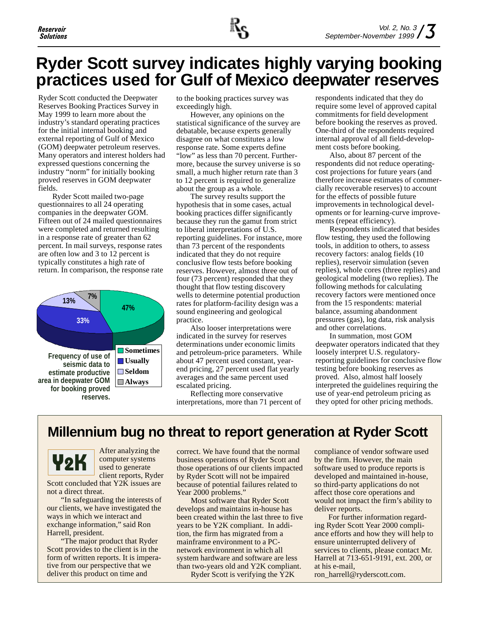

# **Ryder Scott survey indicates highly varying booking practices used for Gulf of Mexico deepwater reserves**

Ryder Scott conducted the Deepwater Reserves Booking Practices Survey in May 1999 to learn more about the industry's standard operating practices for the initial internal booking and external reporting of Gulf of Mexico (GOM) deepwater petroleum reserves. Many operators and interest holders had expressed questions concerning the industry "norm" for initially booking proved reserves in GOM deepwater fields.

Ryder Scott mailed two-page questionnaires to all 24 operating companies in the deepwater GOM. Fifteen out of 24 mailed questionnaires were completed and returned resulting in a response rate of greater than 62 percent. In mail surveys, response rates are often low and 3 to 12 percent is typically constitutes a high rate of return. In comparison, the response rate



to the booking practices survey was exceedingly high.

**47%** statistical significance of the survey are However, any opinions on the debatable, because experts generally disagree on what constitutes a low response rate. Some experts define "low" as less than 70 percent. Furthermore, because the survey universe is so small, a much higher return rate than 3 to 12 percent is required to generalize about the group as a whole.

The survey results support the hypothesis that in some cases, actual booking practices differ significantly because they run the gamut from strict to liberal interpretations of U.S. reporting guidelines. For instance, more than 73 percent of the respondents indicated that they do not require conclusive flow tests before booking reserves. However, almost three out of four (73 percent) responded that they thought that flow testing discovery wells to determine potential production rates for platform-facility design was a sound engineering and geological practice.

Also looser interpretations were indicated in the survey for reserves determinations under economic limits and petroleum-price parameters. While about 47 percent used constant, yearend pricing, 27 percent used flat yearly averages and the same percent used escalated pricing.

Reflecting more conservative interpretations, more than 71 percent of respondents indicated that they do require some level of approved capital commitments for field development before booking the reserves as proved. One-third of the respondents required internal approval of all field-development costs before booking.

Also, about 87 percent of the respondents did not reduce operatingcost projections for future years (and therefore increase estimates of commercially recoverable reserves) to account for the effects of possible future improvements in technological developments or for learning-curve improvements (repeat efficiency).

Respondents indicated that besides flow testing, they used the following tools, in addition to others, to assess recovery factors: analog fields (10 replies), reservoir simulation (seven replies), whole cores (three replies) and geological modeling (two replies). The following methods for calculating recovery factors were mentioned once from the 15 respondents: material balance, assuming abandonment pressures (gas), log data, risk analysis and other correlations.

In summation, most GOM deepwater operators indicated that they loosely interpret U.S. regulatoryreporting guidelines for conclusive flow testing before booking reserves as proved. Also, almost half loosely interpreted the guidelines requiring the use of year-end petroleum pricing as they opted for other pricing methods.

## **Millennium bug no threat to report generation at Ryder Scott**



After analyzing the computer systems used to generate client reports, Ryder

Scott concluded that Y2K issues are not a direct threat.

"In safeguarding the interests of our clients, we have investigated the ways in which we interact and exchange information," said Ron Harrell, president.

"The major product that Ryder Scott provides to the client is in the form of written reports. It is imperative from our perspective that we deliver this product on time and

correct. We have found that the normal business operations of Ryder Scott and those operations of our clients impacted by Ryder Scott will not be impaired because of potential failures related to Year 2000 problems."

Most software that Ryder Scott develops and maintains in-house has been created within the last three to five years to be Y2K compliant. In addition, the firm has migrated from a mainframe environment to a PCnetwork environment in which all system hardware and software are less than two-years old and Y2K compliant. Ryder Scott is verifying the Y2K

compliance of vendor software used by the firm. However, the main software used to produce reports is developed and maintained in-house, so third-party applications do not affect those core operations and would not impact the firm's ability to deliver reports.

For further information regarding Ryder Scott Year 2000 compliance efforts and how they will help to ensure uninterrupted delivery of services to clients, please contact Mr. Harrell at 713-651-9191, ext. 200, or at his e-mail, ron\_harrell@ryderscott.com.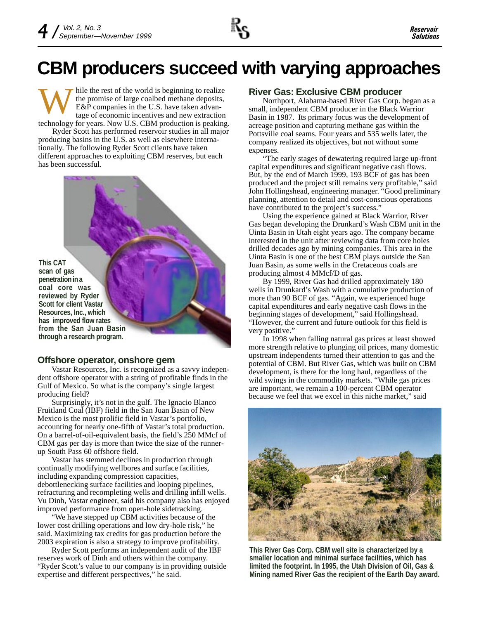hile the rest of the world is beginning to realize the promise of large coalbed methane deposits, E&P companies in the U.S. have taken advantage of economic incentives and new extraction W technology for years. Now U.S. CBM production is peaking.

Ryder Scott has performed reservoir studies in all major producing basins in the U.S. as well as elsewhere internationally. The following Ryder Scott clients have taken different approaches to exploiting CBM reserves, but each has been successful.

**This CAT scan of gas penetration in a coal core was reviewed by Ryder Scott for client Vastar Resources, Inc., which has improved flow rates from the San Juan Basin through a research program.**

### **Offshore operator, onshore gem**

Vastar Resources, Inc. is recognized as a savvy independent offshore operator with a string of profitable finds in the Gulf of Mexico. So what is the company's single largest producing field?

Surprisingly, it's not in the gulf. The Ignacio Blanco Fruitland Coal (IBF) field in the San Juan Basin of New Mexico is the most prolific field in Vastar's portfolio, accounting for nearly one-fifth of Vastar's total production. On a barrel-of-oil-equivalent basis, the field's 250 MMcf of CBM gas per day is more than twice the size of the runnerup South Pass 60 offshore field.

Vastar has stemmed declines in production through continually modifying wellbores and surface facilities, including expanding compression capacities, debottlenecking surface facilities and looping pipelines, refracturing and recompleting wells and drilling infill wells. Vu Dinh, Vastar engineer, said his company also has enjoyed improved performance from open-hole sidetracking.

"We have stepped up CBM activities because of the lower cost drilling operations and low dry-hole risk," he said. Maximizing tax credits for gas production before the 2003 expiration is also a strategy to improve profitability.

Ryder Scott performs an independent audit of the IBF reserves work of Dinh and others within the company. "Ryder Scott's value to our company is in providing outside expertise and different perspectives," he said.

### **River Gas: Exclusive CBM producer**

Northport, Alabama-based River Gas Corp. began as a small, independent CBM producer in the Black Warrior Basin in 1987. Its primary focus was the development of acreage position and capturing methane gas within the Pottsville coal seams. Four years and 535 wells later, the company realized its objectives, but not without some expenses.

"The early stages of dewatering required large up-front capital expenditures and significant negative cash flows. But, by the end of March 1999, 193 BCF of gas has been produced and the project still remains very profitable," said John Hollingshead, engineering manager. "Good preliminary planning, attention to detail and cost-conscious operations have contributed to the project's success."

Using the experience gained at Black Warrior, River Gas began developing the Drunkard's Wash CBM unit in the Uinta Basin in Utah eight years ago. The company became interested in the unit after reviewing data from core holes drilled decades ago by mining companies. This area in the Uinta Basin is one of the best CBM plays outside the San Juan Basin, as some wells in the Cretaceous coals are producing almost 4 MMcf/D of gas.

By 1999, River Gas had drilled approximately 180 wells in Drunkard's Wash with a cumulative production of more than 90 BCF of gas. "Again, we experienced huge capital expenditures and early negative cash flows in the beginning stages of development," said Hollingshead. "However, the current and future outlook for this field is very positive."

In 1998 when falling natural gas prices at least showed more strength relative to plunging oil prices, many domestic upstream independents turned their attention to gas and the potential of CBM. But River Gas, which was built on CBM development, is there for the long haul, regardless of the wild swings in the commodity markets. "While gas prices are important, we remain a 100-percent CBM operator because we feel that we excel in this niche market," said



**This River Gas Corp. CBM well site is characterized by a smaller location and minimal surface facilities, which has limited the footprint. In 1995, the Utah Division of Oil, Gas & Mining named River Gas the recipient of the Earth Day award.**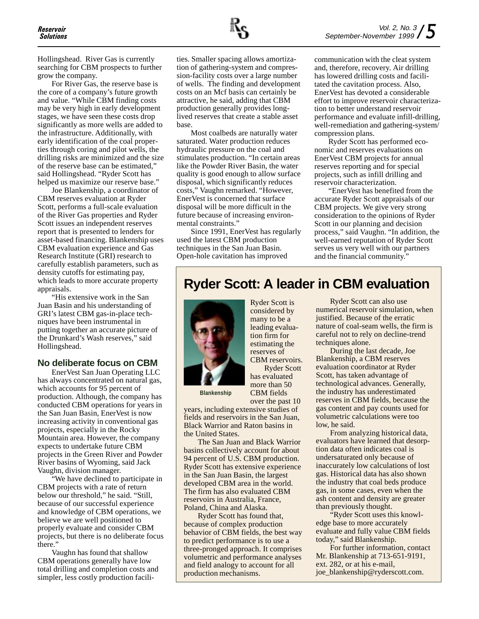Hollingshead. River Gas is currently searching for CBM prospects to further grow the company.

For River Gas, the reserve base is the core of a company's future growth and value. "While CBM finding costs may be very high in early development stages, we have seen these costs drop significantly as more wells are added to the infrastructure. Additionally, with early identification of the coal properties through coring and pilot wells, the drilling risks are minimized and the size of the reserve base can be estimated," said Hollingshead. "Ryder Scott has helped us maximize our reserve base."

Joe Blankenship, a coordinator of CBM reserves evaluation at Ryder Scott, performs a full-scale evaluation of the River Gas properties and Ryder Scott issues an independent reserves report that is presented to lenders for asset-based financing. Blankenship uses CBM evaluation experience and Gas Research Institute (GRI) research to carefully establish parameters, such as density cutoffs for estimating pay, which leads to more accurate property appraisals.

"His extensive work in the San Juan Basin and his understanding of GRI's latest CBM gas-in-place techniques have been instrumental in putting together an accurate picture of the Drunkard's Wash reserves," said Hollingshead.

### **No deliberate focus on CBM**

EnerVest San Juan Operating LLC has always concentrated on natural gas, which accounts for 95 percent of production. Although, the company has conducted CBM operations for years in the San Juan Basin, EnerVest is now increasing activity in conventional gas projects, especially in the Rocky Mountain area. However, the company expects to undertake future CBM projects in the Green River and Powder River basins of Wyoming, said Jack Vaughn, division manager.

"We have declined to participate in CBM projects with a rate of return below our threshold," he said. "Still, because of our successful experience and knowledge of CBM operations, we believe we are well positioned to properly evaluate and consider CBM projects, but there is no deliberate focus there."

Vaughn has found that shallow CBM operations generally have low total drilling and completion costs and simpler, less costly production facilities. Smaller spacing allows amortization of gathering-system and compression-facility costs over a large number of wells. The finding and development costs on an Mcf basis can certainly be attractive, he said, adding that CBM production generally provides longlived reserves that create a stable asset base.

Most coalbeds are naturally water saturated. Water production reduces hydraulic pressure on the coal and stimulates production. "In certain areas like the Powder River Basin, the water quality is good enough to allow surface disposal, which significantly reduces costs," Vaughn remarked. "However, EnerVest is concerned that surface disposal will be more difficult in the future because of increasing environmental constraints."

Since 1991, EnerVest has regularly used the latest CBM production techniques in the San Juan Basin. Open-hole cavitation has improved

communication with the cleat system and, therefore, recovery. Air drilling has lowered drilling costs and facilitated the cavitation process. Also, EnerVest has devoted a considerable effort to improve reservoir characterization to better understand reservoir performance and evaluate infill-drilling, well-remediation and gathering-system/ compression plans.

Ryder Scott has performed economic and reserves evaluations on EnerVest CBM projects for annual reserves reporting and for special projects, such as infill drilling and reservoir characterization.

"EnerVest has benefited from the accurate Ryder Scott appraisals of our CBM projects. We give very strong consideration to the opinions of Ryder Scott in our planning and decision process," said Vaughn. "In addition, the well-earned reputation of Ryder Scott serves us very well with our partners and the financial community."

### **Ryder Scott: A leader in CBM evaluation**



Ryder Scott is considered by many to be a leading evaluation firm for estimating the reserves of CBM reservoirs. Ryder Scott has evaluated more than 50 CBM fields

**Blankenship**

over the past 10 years, including extensive studies of fields and reservoirs in the San Juan, Black Warrior and Raton basins in the United States.

The San Juan and Black Warrior basins collectively account for about 94 percent of U.S. CBM production. Ryder Scott has extensive experience in the San Juan Basin, the largest developed CBM area in the world. The firm has also evaluated CBM reservoirs in Australia, France, Poland, China and Alaska.

Ryder Scott has found that, because of complex production behavior of CBM fields, the best way to predict performance is to use a three-pronged approach. It comprises volumetric and performance analyses and field analogy to account for all production mechanisms.

Ryder Scott can also use numerical reservoir simulation, when justified. Because of the erratic nature of coal-seam wells, the firm is careful not to rely on decline-trend techniques alone.

During the last decade, Joe Blankenship, a CBM reserves evaluation coordinator at Ryder Scott, has taken advantage of technological advances. Generally, the industry has underestimated reserves in CBM fields, because the gas content and pay counts used for volumetric calculations were too low, he said.

From analyzing historical data, evaluators have learned that desorption data often indicates coal is undersaturated only because of inaccurately low calculations of lost gas. Historical data has also shown the industry that coal beds produce gas, in some cases, even when the ash content and density are greater than previously thought.

"Ryder Scott uses this knowledge base to more accurately evaluate and fully value CBM fields today," said Blankenship.

For further information, contact Mr. Blankenship at 713-651-9191, ext. 282, or at his e-mail, joe\_blankenship@ryderscott.com.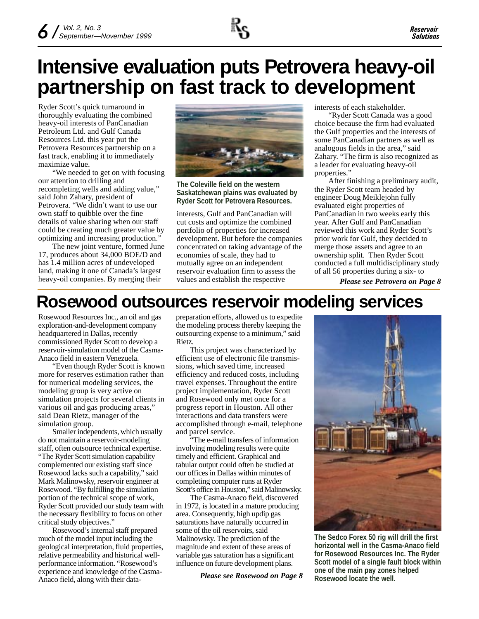

# **Intensive evaluation puts Petrovera heavy-oil partnership on fast track to development**

Ryder Scott's quick turnaround in thoroughly evaluating the combined heavy-oil interests of PanCanadian Petroleum Ltd. and Gulf Canada Resources Ltd. this year put the Petrovera Resources partnership on a fast track, enabling it to immediately maximize value.

"We needed to get on with focusing our attention to drilling and recompleting wells and adding value," said John Zahary, president of Petrovera. "We didn't want to use our own staff to quibble over the fine details of value sharing when our staff could be creating much greater value by optimizing and increasing production."

The new joint venture, formed June 17, produces about 34,000 BOE/D and has 1.4 million acres of undeveloped land, making it one of Canada's largest heavy-oil companies. By merging their



**The Coleville field on the western Saskatchewan plains was evaluated by Ryder Scott for Petrovera Resources.**

interests, Gulf and PanCanadian will cut costs and optimize the combined portfolio of properties for increased development. But before the companies concentrated on taking advantage of the economies of scale, they had to mutually agree on an independent reservoir evaluation firm to assess the values and establish the respective

interests of each stakeholder.

"Ryder Scott Canada was a good choice because the firm had evaluated the Gulf properties and the interests of some PanCanadian partners as well as analogous fields in the area," said Zahary. "The firm is also recognized as a leader for evaluating heavy-oil properties."

After finishing a preliminary audit, the Ryder Scott team headed by engineer Doug Meiklejohn fully evaluated eight properties of PanCanadian in two weeks early this year. After Gulf and PanCanadian reviewed this work and Ryder Scott's prior work for Gulf, they decided to merge those assets and agree to an ownership split. Then Ryder Scott conducted a full multidisciplinary study of all 56 properties during a six- to

*Please see Petrovera on Page 8*

# **Rosewood outsources reservoir modeling services**

Rosewood Resources Inc., an oil and gas exploration-and-development company headquartered in Dallas, recently commissioned Ryder Scott to develop a reservoir-simulation model of the Casma-Anaco field in eastern Venezuela.

"Even though Ryder Scott is known more for reserves estimation rather than for numerical modeling services, the modeling group is very active on simulation projects for several clients in various oil and gas producing areas," said Dean Rietz, manager of the simulation group.

Smaller independents, which usually do not maintain a reservoir-modeling staff, often outsource technical expertise. "The Ryder Scott simulation capability complemented our existing staff since Rosewood lacks such a capability," said Mark Malinowsky, reservoir engineer at Rosewood. "By fulfilling the simulation portion of the technical scope of work, Ryder Scott provided our study team with the necessary flexibility to focus on other critical study objectives."

Rosewood's internal staff prepared much of the model input including the geological interpretation, fluid properties, relative permeability and historical wellperformance information. "Rosewood's experience and knowledge of the Casma-Anaco field, along with their datapreparation efforts, allowed us to expedite the modeling process thereby keeping the outsourcing expense to a minimum," said Rietz.

This project was characterized by efficient use of electronic file transmissions, which saved time, increased efficiency and reduced costs, including travel expenses. Throughout the entire project implementation, Ryder Scott and Rosewood only met once for a progress report in Houston. All other interactions and data transfers were accomplished through e-mail, telephone and parcel service.

"The e-mail transfers of information involving modeling results were quite timely and efficient. Graphical and tabular output could often be studied at our offices in Dallas within minutes of completing computer runs at Ryder Scott's office in Houston," said Malinowsky.

The Casma-Anaco field, discovered in 1972, is located in a mature producing area. Consequently, high updip gas saturations have naturally occurred in some of the oil reservoirs, said Malinowsky. The prediction of the magnitude and extent of these areas of variable gas saturation has a significant influence on future development plans.

**Rosewood locate the well.** *Please see Rosewood on Page 8*



**The Sedco Forex 50 rig will drill the first horizontal well in the Casma-Anaco field for Rosewood Resources Inc. The Ryder Scott model of a single fault block within one of the main pay zones helped**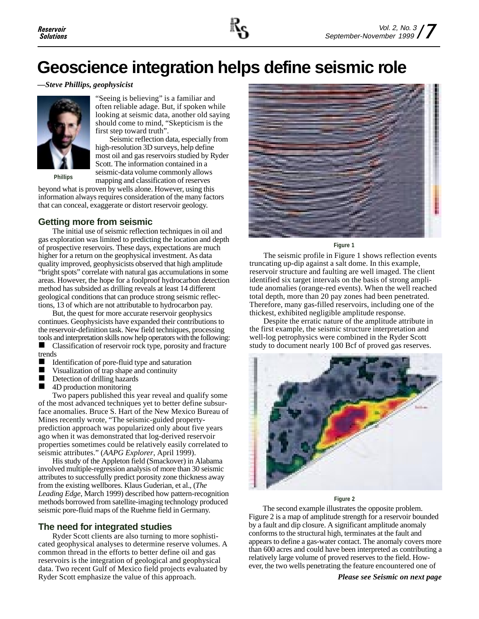# **Geoscience integration helps define seismic role**

*—Steve Phillips, geophysicist*



"Seeing is believing" is a familiar and often reliable adage. But, if spoken while looking at seismic data, another old saying should come to mind, "Skepticism is the first step toward truth".

Seismic reflection data, especially from high-resolution 3D surveys, help define most oil and gas reservoirs studied by Ryder Scott. The information contained in a seismic-data volume commonly allows mapping and classification of reserves **Phillips**

beyond what is proven by wells alone. However, using this information always requires consideration of the many factors that can conceal, exaggerate or distort reservoir geology.

### **Getting more from seismic**

The initial use of seismic reflection techniques in oil and gas exploration was limited to predicting the location and depth of prospective reservoirs. These days, expectations are much higher for a return on the geophysical investment. As data quality improved, geophysicists observed that high amplitude "bright spots" correlate with natural gas accumulations in some areas. However, the hope for a foolproof hydrocarbon detection method has subsided as drilling reveals at least 14 different geological conditions that can produce strong seismic reflections, 13 of which are not attributable to hydrocarbon pay.

But, the quest for more accurate reservoir geophysics continues. Geophysicists have expanded their contributions to the reservoir-definition task. New field techniques, processing tools and interpretation skills now help operators with the following:

■ Classification of reservoir rock type, porosity and fracture trends

- Identification of pore-fluid type and saturation
- $\blacksquare$  Visualization of trap shape and continuity
- $\blacksquare$  Detection of drilling hazards
- $\blacksquare$  4D production monitoring

Two papers published this year reveal and qualify some of the most advanced techniques yet to better define subsurface anomalies. Bruce S. Hart of the New Mexico Bureau of Mines recently wrote, "The seismic-guided propertyprediction approach was popularized only about five years ago when it was demonstrated that log-derived reservoir properties sometimes could be relatively easily correlated to seismic attributes." (*AAPG Explorer*, April 1999).

His study of the Appleton field (Smackover) in Alabama involved multiple-regression analysis of more than 30 seismic attributes to successfully predict porosity zone thickness away from the existing wellbores. Klaus Guderian, et al., (*The Leading Edge*, March 1999) described how pattern-recognition methods borrowed from satellite-imaging technology produced seismic pore-fluid maps of the Ruehme field in Germany.

### **The need for integrated studies**

Ryder Scott clients are also turning to more sophisticated geophysical analyses to determine reserve volumes. A common thread in the efforts to better define oil and gas reservoirs is the integration of geological and geophysical data. Two recent Gulf of Mexico field projects evaluated by Ryder Scott emphasize the value of this approach.



#### **Figure 1**

The seismic profile in Figure 1 shows reflection events truncating up-dip against a salt dome. In this example, reservoir structure and faulting are well imaged. The client identified six target intervals on the basis of strong amplitude anomalies (orange-red events). When the well reached total depth, more than 20 pay zones had been penetrated. Therefore, many gas-filled reservoirs, including one of the thickest, exhibited negligible amplitude response.

Despite the erratic nature of the amplitude attribute in the first example, the seismic structure interpretation and well-log petrophysics were combined in the Ryder Scott study to document nearly 100 Bcf of proved gas reserves.



#### **Figure 2**

The second example illustrates the opposite problem. Figure 2 is a map of amplitude strength for a reservoir bounded by a fault and dip closure. A significant amplitude anomaly conforms to the structural high, terminates at the fault and appears to define a gas-water contact. The anomaly covers more than 600 acres and could have been interpreted as contributing a relatively large volume of proved reserves to the field. However, the two wells penetrating the feature encountered one of